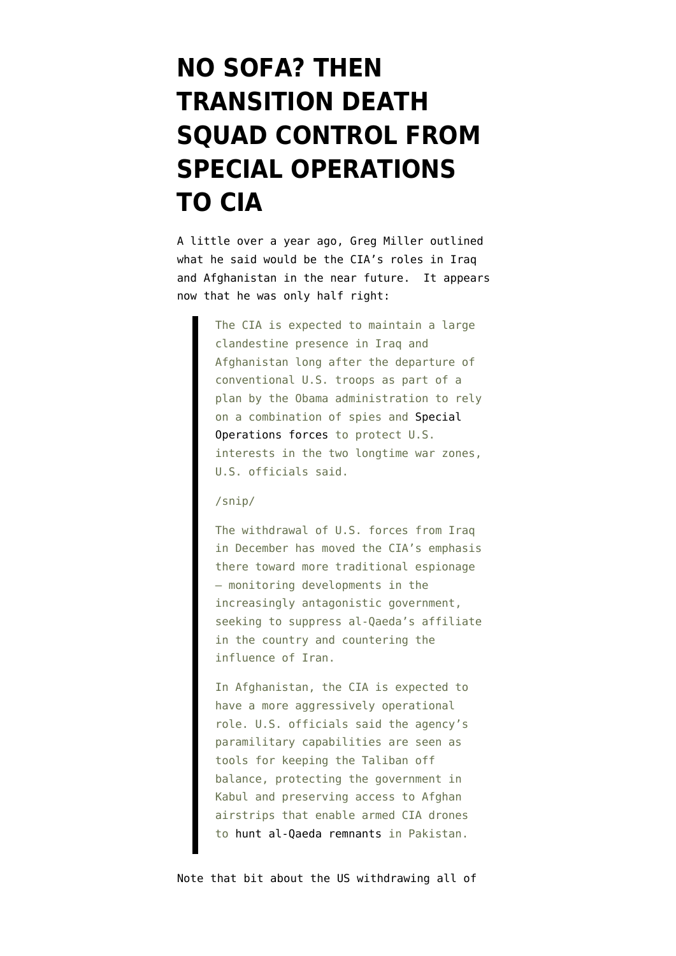## **[NO SOFA? THEN](https://www.emptywheel.net/2013/03/12/no-sofa-then-transition-death-squad-control-from-special-operations-to-cia/) [TRANSITION DEATH](https://www.emptywheel.net/2013/03/12/no-sofa-then-transition-death-squad-control-from-special-operations-to-cia/) [SQUAD CONTROL FROM](https://www.emptywheel.net/2013/03/12/no-sofa-then-transition-death-squad-control-from-special-operations-to-cia/) [SPECIAL OPERATIONS](https://www.emptywheel.net/2013/03/12/no-sofa-then-transition-death-squad-control-from-special-operations-to-cia/) [TO CIA](https://www.emptywheel.net/2013/03/12/no-sofa-then-transition-death-squad-control-from-special-operations-to-cia/)**

A little over a year ago, Greg Miller outlined what he said would be the [CIA's roles in Iraq](http://articles.washingtonpost.com/2012-02-07/world/35443385_1_cia-veteran-afghanistan-cia-drones) [and Afghanistan in the near future](http://articles.washingtonpost.com/2012-02-07/world/35443385_1_cia-veteran-afghanistan-cia-drones). It appears now that he was only half right:

> The CIA is expected to maintain a large clandestine presence in Iraq and Afghanistan long after the departure of conventional U.S. troops as part of a plan by the Obama administration to rely on a combination of spies and [Special](http://www.washingtonpost.com/world/national-security/us-to-elevate-special-operations-forces-role-in-afghanistan/2012/02/05/gIQAK3VMsQ_story.html) [Operations forces](http://www.washingtonpost.com/world/national-security/us-to-elevate-special-operations-forces-role-in-afghanistan/2012/02/05/gIQAK3VMsQ_story.html) to protect U.S. interests in the two longtime war zones, U.S. officials said.

## /snip/

The withdrawal of U.S. forces from Iraq in December has moved the CIA's emphasis there toward more traditional espionage — monitoring developments in the increasingly antagonistic government, seeking to suppress al-Qaeda's affiliate in the country and countering the influence of Iran.

In Afghanistan, the CIA is expected to have a more aggressively operational role. U.S. officials said the agency's paramilitary capabilities are seen as tools for keeping the Taliban off balance, protecting the government in Kabul and preserving access to Afghan airstrips that enable armed CIA drones to [hunt al-Qaeda remnants](http://www.washingtonpost.com/world/national-security/al-qaeda-could-lose-operational-capabilities-within-2-years-us-official-says/2011/09/13/gIQAzwXgQK_story.html) in Pakistan.

Note that bit about the US withdrawing all of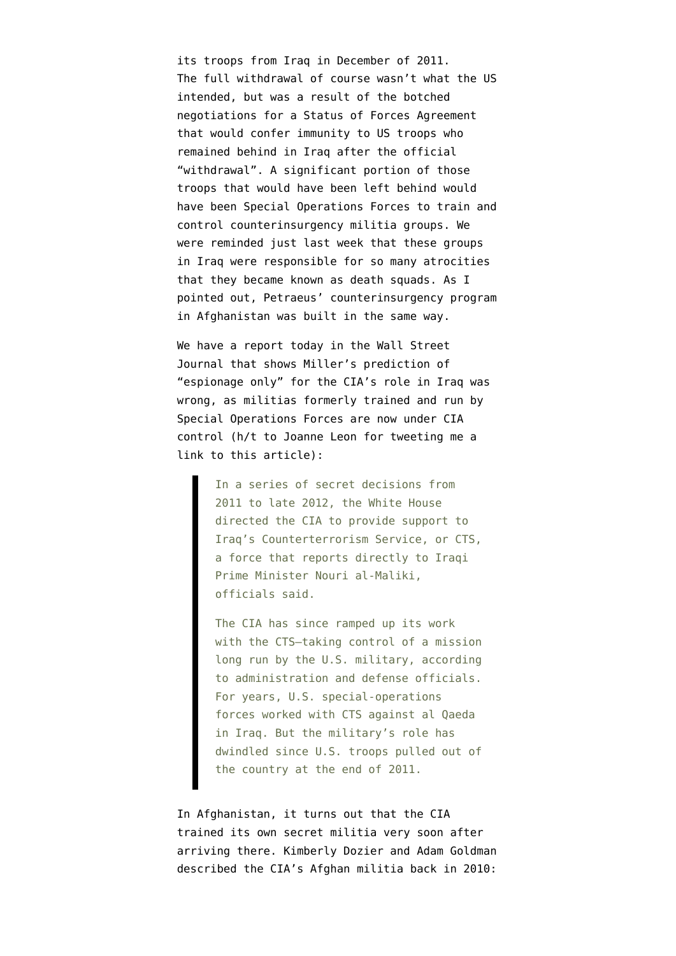its troops from Iraq in December of 2011. The [full withdrawal](http://www.nytimes.com/2011/12/19/world/middleeast/last-convoy-of-american-troops-leaves-iraq.html?pagewanted=all&_r=0) of course wasn't what the US intended, but was a result of the [botched](http://thecable.foreignpolicy.com/posts/2011/10/21/how_the_obama_administration_bungled_the_iraq_withdrawal_negotiations) [negotiations for a Status of Forces Agreement](http://thecable.foreignpolicy.com/posts/2011/10/21/how_the_obama_administration_bungled_the_iraq_withdrawal_negotiations) that would confer immunity to US troops who remained behind in Iraq after the official "withdrawal". A significant portion of those troops that would have been left behind would have been Special Operations Forces to train and control counterinsurgency militia groups. We were reminded just last week that these groups in Iraq wer[e responsible for so many atrocities](http://www.guardian.co.uk/world/2013/mar/06/pentagon-iraqi-torture-centres-link) that they became known as death squads. As I pointed out, [Petraeus' counterinsurgency program](http://www.emptywheel.net/2013/03/07/guardian-lays-out-details-of-how-petraeus-organized-death-squads-in-iraq/) [in Afghanistan was built in the same way.](http://www.emptywheel.net/2013/03/07/guardian-lays-out-details-of-how-petraeus-organized-death-squads-in-iraq/)

We have a report today in the Wall Street Journal that shows Miller's prediction of "espionage only" for the CIA's role in Iraq was wrong, as [militias formerly trained and run by](http://online.wsj.com/article/SB10001424127887324735304578354561954501502.html) [Special Operations Forces are now under CIA](http://online.wsj.com/article/SB10001424127887324735304578354561954501502.html) [control](http://online.wsj.com/article/SB10001424127887324735304578354561954501502.html) (h/t to Joanne Leon for tweeting me a link to this article):

> In a series of secret decisions from 2011 to late 2012, the White House directed the CIA to provide support to Iraq's Counterterrorism Service, or CTS, a force that reports directly to Iraqi Prime Minister Nouri al-Maliki, officials said.

> The CIA has since ramped up its work with the CTS—taking control of a mission long run by the U.S. military, according to administration and defense officials. For years, U.S. special-operations forces worked with CTS against al Qaeda in Iraq. But the military's role has dwindled since U.S. troops pulled out of the country at the end of 2011.

In Afghanistan, it turns out that the CIA trained its own secret militia very soon after arriving there. [Kimberly Dozier and Adam Goldman](http://www.huffingtonpost.com/2010/09/22/counterterrorist-pursuit-_n_734961.html) [described the CIA's Afghan militia](http://www.huffingtonpost.com/2010/09/22/counterterrorist-pursuit-_n_734961.html) back in 2010: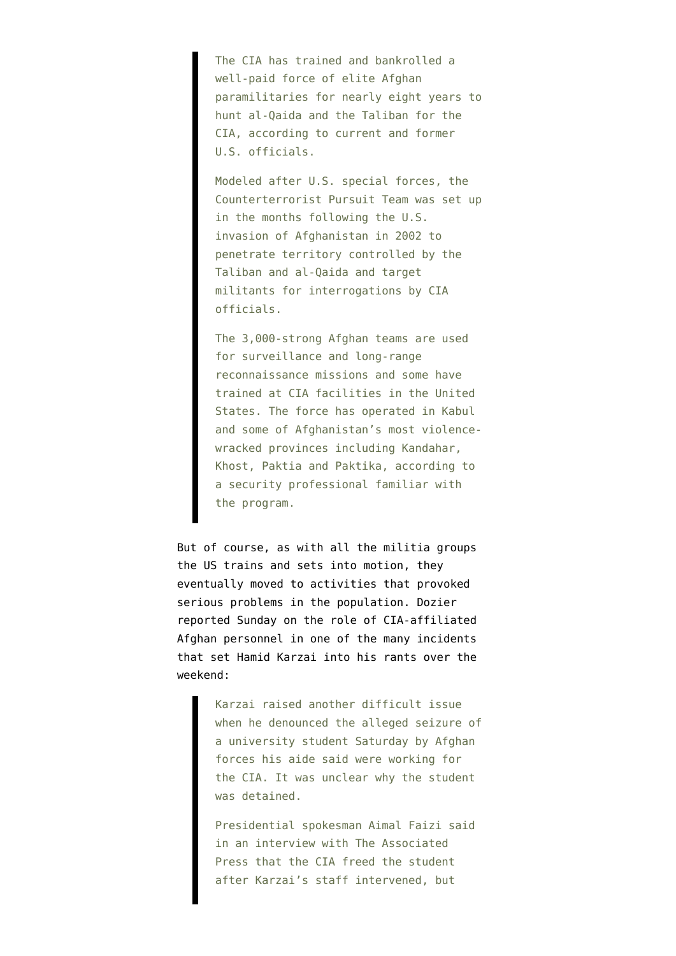The CIA has trained and bankrolled a well-paid force of elite Afghan paramilitaries for nearly eight years to hunt al-Qaida and the Taliban for the CIA, according to current and former U.S. officials.

Modeled after U.S. special forces, the Counterterrorist Pursuit Team was set up in the months following the U.S. invasion of Afghanistan in 2002 to penetrate territory controlled by the Taliban and al-Qaida and target militants for interrogations by CIA officials.

The 3,000-strong Afghan teams are used for surveillance and long-range reconnaissance missions and some have trained at CIA facilities in the United States. The force has operated in Kabul and some of Afghanistan's most violencewracked provinces including Kandahar, Khost, Paktia and Paktika, according to a security professional familiar with the program.

But of course, as with all the militia groups the US trains and sets into motion, they eventually moved to activities that provoked serious problems in the population. Dozier reported Sunday on the [role of CIA-affiliated](http://www.huffingtonpost.com/2013/03/10/karzai-taliban-us-afghanistan-2014_n_2847487.html) [Afghan personnel in one of the many incidents](http://www.huffingtonpost.com/2013/03/10/karzai-taliban-us-afghanistan-2014_n_2847487.html) [that set Hamid Karzai into his rants over the](http://www.huffingtonpost.com/2013/03/10/karzai-taliban-us-afghanistan-2014_n_2847487.html) [weekend:](http://www.huffingtonpost.com/2013/03/10/karzai-taliban-us-afghanistan-2014_n_2847487.html)

> Karzai raised another difficult issue when he denounced the alleged seizure of a university student Saturday by Afghan forces his aide said were working for the CIA. It was unclear why the student was detained.

Presidential spokesman Aimal Faizi said in an interview with The Associated Press that the CIA freed the student after Karzai's staff intervened, but